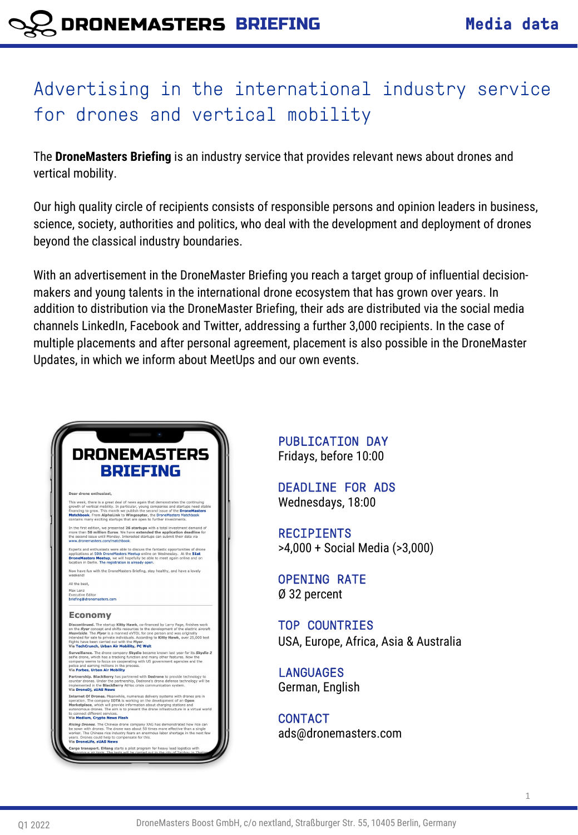# Advertising in the international industry service for drones and vertical mobility

The **DroneMasters Briefing** is an industry service that provides relevant news about drones and vertical mobility.

Our high quality circle of recipients consists of responsible persons and opinion leaders in business, science, society, authorities and politics, who deal with the development and deployment of drones beyond the classical industry boundaries.

With an advertisement in the DroneMaster Briefing you reach a target group of influential decisionmakers and young talents in the international drone ecosystem that has grown over years. In addition to distribution via the DroneMaster Briefing, their ads are distributed via the social media channels LinkedIn, Facebook and Twitter, addressing a further 3,000 recipients. In the case of multiple placements and after personal agreement, placement is also possible in the DroneMaster Updates, in which we inform about MeetUps and our own events.



PUBLICATION DAY Fridays, before 10:00

DEADLINE FOR ADS Wednesdays, 18:00

RECIPIENTS >4,000 + Social Media (>3,000)

OPENING RATE Ø 32 percent

TOP COUNTRIES USA, Europe, Africa, Asia & Australia

LANGUAGES German, English

CONTACT ads@dronemasters.com